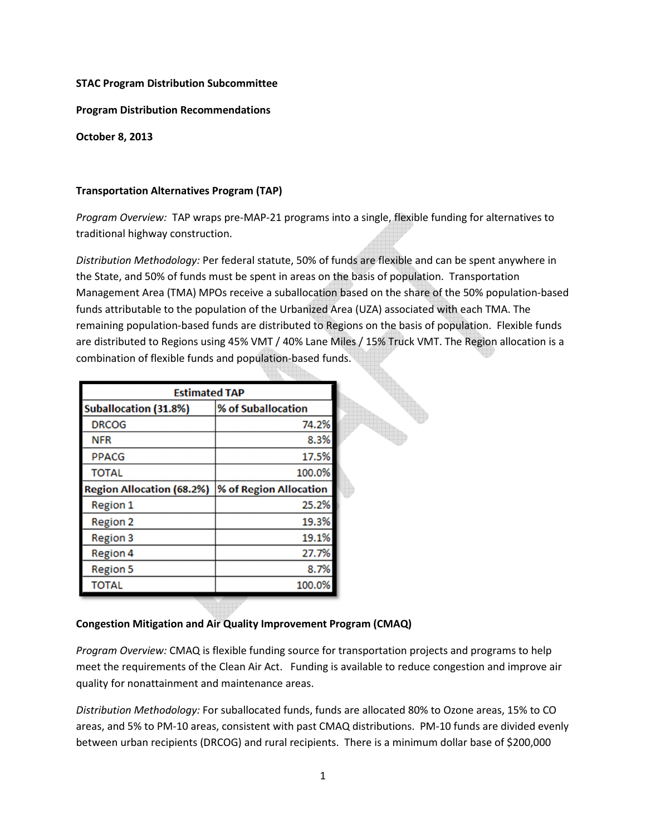### **STAC Program Distribution Subcommittee**

### **Program Distribution Recommendations**

**October 8, 2013** 

### **Transportation Alternatives Program (TAP)**

*Program Overview:* TAP wraps pre-MAP-21 programs into a single, flexible funding for alternatives to traditional highway construction.

*Distribution Methodology:* Per federal statute, 50% of funds are flexible and can be spent anywhere in the State, and 50% of funds must be spent in areas on the basis of population. Transportation Management Area (TMA) MPOs receive a suballocation based on the share of the 50% population-based funds attributable to the population of the Urbanized Area (UZA) associated with each TMA. The remaining population-based funds are distributed to Regions on the basis of population. Flexible funds are distributed to Regions using 45% VMT / 40% Lane Miles / 15% Truck VMT. The Region allocation is a combination of flexible funds and population-based funds.

| <b>Estimated TAP</b>             |                        |  |
|----------------------------------|------------------------|--|
| <b>Suballocation (31.8%)</b>     | % of Suballocation     |  |
| <b>DRCOG</b>                     | 74.2%                  |  |
| <b>NFR</b>                       | 8.3%                   |  |
| <b>PPACG</b>                     | 17.5%                  |  |
| <b>TOTAL</b>                     | 100.0%                 |  |
| <b>Region Allocation (68.2%)</b> | % of Region Allocation |  |
| <b>Region 1</b>                  | 25.2%                  |  |
| <b>Region 2</b>                  | 19.3%                  |  |
| <b>Region 3</b>                  | 19.1%                  |  |
| <b>Region 4</b>                  | 27.7%                  |  |
| <b>Region 5</b>                  | 8.7%                   |  |
| TOTAL                            | 100.0%                 |  |

### **Congestion Mitigation and Air Quality Improvement Program (CMAQ)**

*Program Overview:* CMAQ is flexible funding source for transportation projects and programs to help meet the requirements of the Clean Air Act. Funding is available to reduce congestion and improve air quality for nonattainment and maintenance areas.

*Distribution Methodology:* For suballocated funds, funds are allocated 80% to Ozone areas, 15% to CO areas, and 5% to PM-10 areas, consistent with past CMAQ distributions. PM-10 funds are divided evenly between urban recipients (DRCOG) and rural recipients. There is a minimum dollar base of \$200,000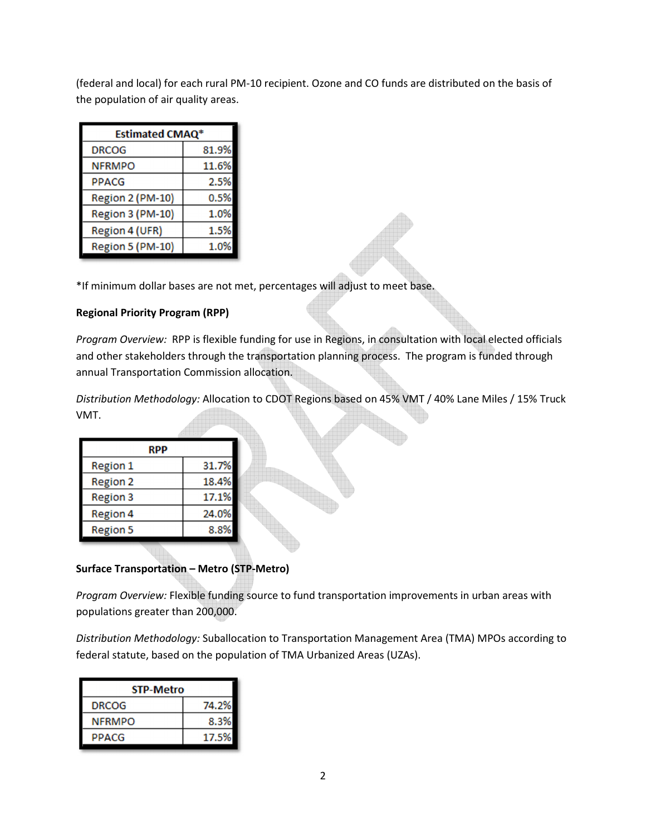(federal and local) for each rural PM-10 recipient. Ozone and CO funds are distributed on the basis of the population of air quality areas.

| Estimated CMAQ <sup>*</sup> |       |  |
|-----------------------------|-------|--|
| <b>DRCOG</b>                | 81.9% |  |
| <b>NFRMPO</b>               | 11.6% |  |
| <b>PPACG</b>                | 2.5%  |  |
| Region 2 (PM-10)            | 0.5%  |  |
| Region 3 (PM-10)            | 1.0%  |  |
| Region 4 (UFR)              | 1.5%  |  |
| Region 5 (PM-10)            | 1.0%  |  |

\*If minimum dollar bases are not met, percentages will adjust to meet base.

## **Regional Priority Program (RPP)**

*Program Overview:* RPP is flexible funding for use in Regions, in consultation with local elected officials and other stakeholders through the transportation planning process. The program is funded through annual Transportation Commission allocation.

*Distribution Methodology:* Allocation to CDOT Regions based on 45% VMT / 40% Lane Miles / 15% Truck VMT.

| <b>RPP</b>      |       |  |
|-----------------|-------|--|
| <b>Region 1</b> | 31.7% |  |
| <b>Region 2</b> | 18.4% |  |
| <b>Region 3</b> | 17.1% |  |
| <b>Region 4</b> | 24.0% |  |
| <b>Region 5</b> | 8.8%  |  |
|                 |       |  |

# **Surface Transportation – Metro (STP-Metro)**

*Program Overview:* Flexible funding source to fund transportation improvements in urban areas with populations greater than 200,000.

*Distribution Methodology:* Suballocation to Transportation Management Area (TMA) MPOs according to federal statute, based on the population of TMA Urbanized Areas (UZAs).

| <b>STP-Metro</b> |       |  |
|------------------|-------|--|
| <b>DRCOG</b>     | 74.2% |  |
| <b>NFRMPO</b>    | 8.3%  |  |
| <b>PPACG</b>     | 17.5% |  |